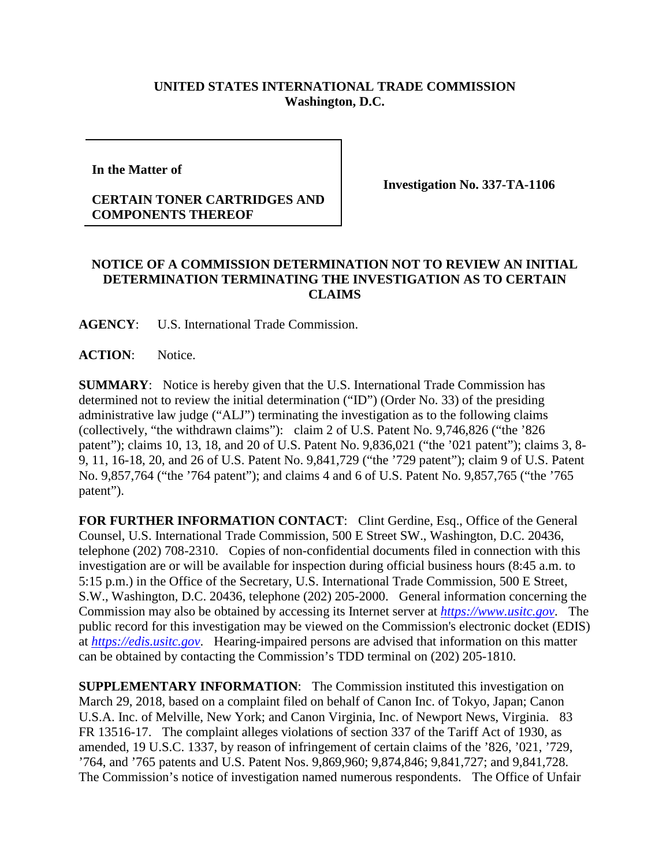## **UNITED STATES INTERNATIONAL TRADE COMMISSION Washington, D.C.**

**In the Matter of** 

## **CERTAIN TONER CARTRIDGES AND COMPONENTS THEREOF**

**Investigation No. 337-TA-1106**

## **NOTICE OF A COMMISSION DETERMINATION NOT TO REVIEW AN INITIAL DETERMINATION TERMINATING THE INVESTIGATION AS TO CERTAIN CLAIMS**

**AGENCY**: U.S. International Trade Commission.

**ACTION**: Notice.

**SUMMARY**: Notice is hereby given that the U.S. International Trade Commission has determined not to review the initial determination ("ID") (Order No. 33) of the presiding administrative law judge ("ALJ") terminating the investigation as to the following claims (collectively, "the withdrawn claims"): claim 2 of U.S. Patent No. 9,746,826 ("the '826 patent"); claims 10, 13, 18, and 20 of U.S. Patent No. 9,836,021 ("the '021 patent"); claims 3, 8- 9, 11, 16-18, 20, and 26 of U.S. Patent No. 9,841,729 ("the '729 patent"); claim 9 of U.S. Patent No. 9,857,764 ("the '764 patent"); and claims 4 and 6 of U.S. Patent No. 9,857,765 ("the '765 patent").

FOR FURTHER INFORMATION CONTACT: Clint Gerdine, Esq., Office of the General Counsel, U.S. International Trade Commission, 500 E Street SW., Washington, D.C. 20436, telephone (202) 708-2310. Copies of non-confidential documents filed in connection with this investigation are or will be available for inspection during official business hours (8:45 a.m. to 5:15 p.m.) in the Office of the Secretary, U.S. International Trade Commission, 500 E Street, S.W., Washington, D.C. 20436, telephone (202) 205-2000. General information concerning the Commission may also be obtained by accessing its Internet server at *[https://www.usitc.gov](https://www.usitc.gov/)*. The public record for this investigation may be viewed on the Commission's electronic docket (EDIS) at *[https://edis.usitc.gov](https://edis.usitc.gov/)*. Hearing-impaired persons are advised that information on this matter can be obtained by contacting the Commission's TDD terminal on (202) 205-1810.

**SUPPLEMENTARY INFORMATION:** The Commission instituted this investigation on March 29, 2018, based on a complaint filed on behalf of Canon Inc. of Tokyo, Japan; Canon U.S.A. Inc. of Melville, New York; and Canon Virginia, Inc. of Newport News, Virginia. 83 FR 13516-17. The complaint alleges violations of section 337 of the Tariff Act of 1930, as amended, 19 U.S.C. 1337, by reason of infringement of certain claims of the '826, '021, '729, '764, and '765 patents and U.S. Patent Nos. 9,869,960; 9,874,846; 9,841,727; and 9,841,728. The Commission's notice of investigation named numerous respondents. The Office of Unfair